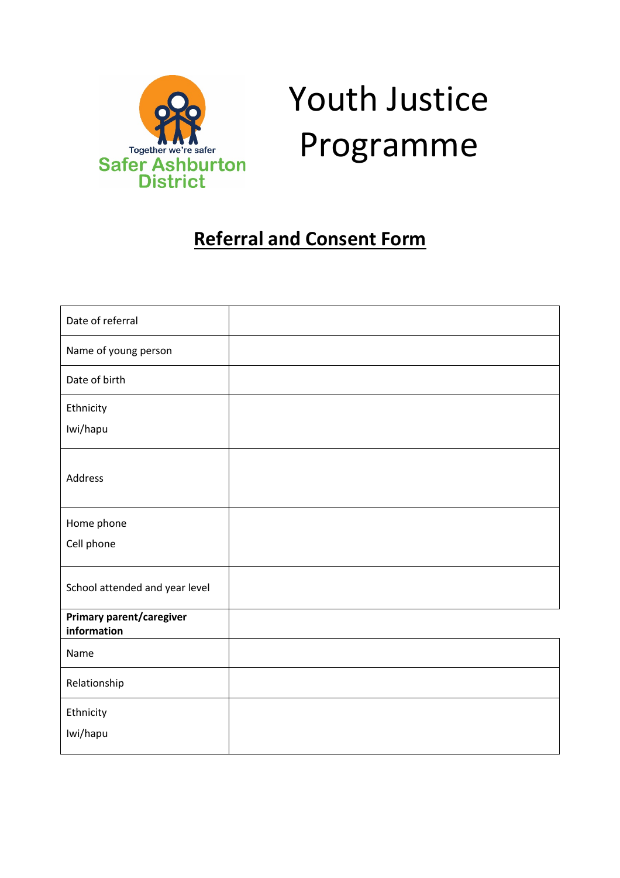

# Youth Justice Programme

## **Referral and Consent Form**

| Date of referral                        |  |
|-----------------------------------------|--|
| Name of young person                    |  |
| Date of birth                           |  |
| Ethnicity                               |  |
| Iwi/hapu                                |  |
| Address                                 |  |
|                                         |  |
| Home phone                              |  |
| Cell phone                              |  |
| School attended and year level          |  |
| Primary parent/caregiver<br>information |  |
| Name                                    |  |
| Relationship                            |  |
| Ethnicity                               |  |
| Iwi/hapu                                |  |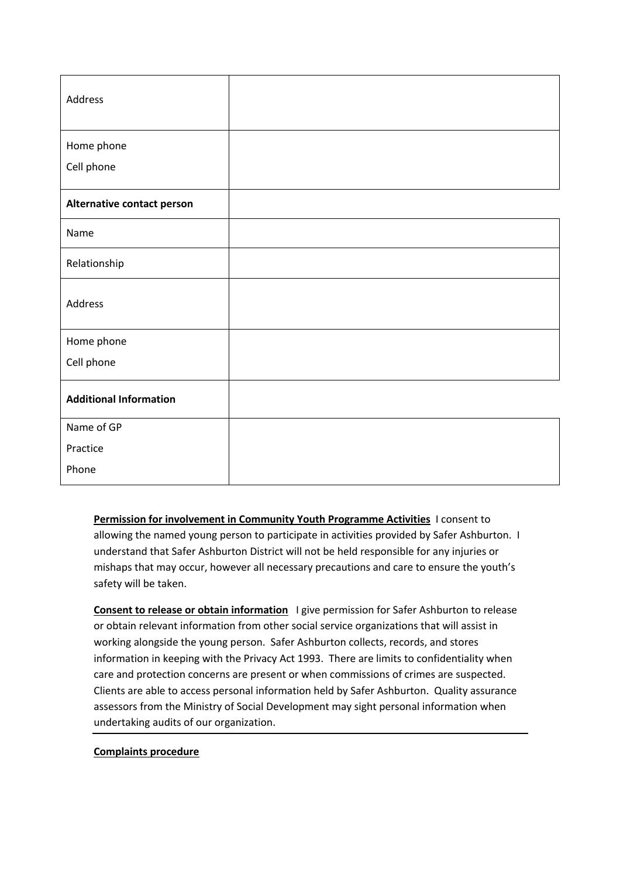| Address                       |  |
|-------------------------------|--|
| Home phone                    |  |
| Cell phone                    |  |
| Alternative contact person    |  |
| Name                          |  |
| Relationship                  |  |
| Address                       |  |
| Home phone                    |  |
| Cell phone                    |  |
| <b>Additional Information</b> |  |
| Name of GP                    |  |
| Practice                      |  |
| Phone                         |  |

**Permission for involvement in Community Youth Programme Activities** I consent to allowing the named young person to participate in activities provided by Safer Ashburton. I understand that Safer Ashburton District will not be held responsible for any injuries or mishaps that may occur, however all necessary precautions and care to ensure the youth's safety will be taken.

**Consent to release or obtain information** I give permission for Safer Ashburton to release or obtain relevant information from other social service organizations that will assist in working alongside the young person. Safer Ashburton collects, records, and stores information in keeping with the Privacy Act 1993. There are limits to confidentiality when care and protection concerns are present or when commissions of crimes are suspected. Clients are able to access personal information held by Safer Ashburton. Quality assurance assessors from the Ministry of Social Development may sight personal information when undertaking audits of our organization.

#### **Complaints procedure**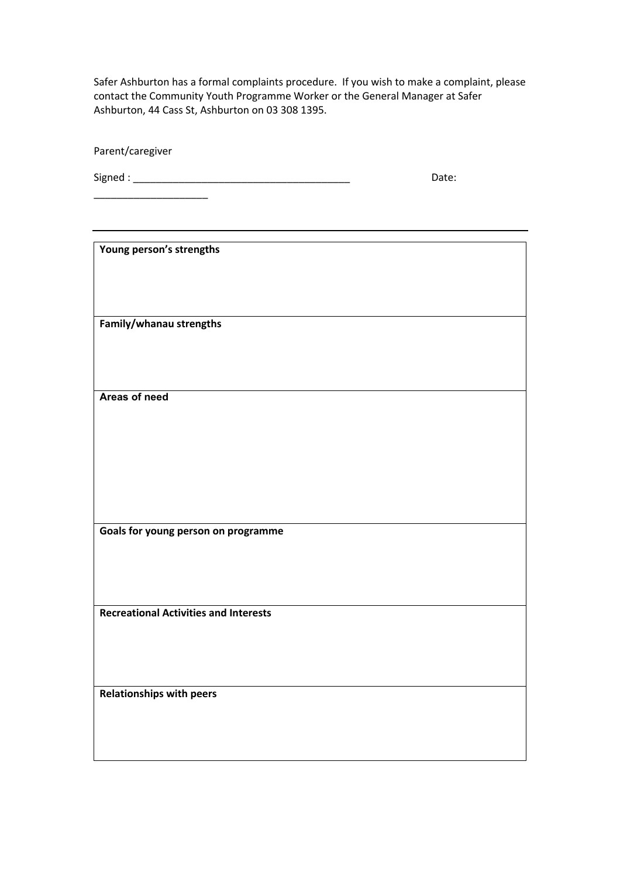Safer Ashburton has a formal complaints procedure. If you wish to make a complaint, please contact the Community Youth Programme Worker or the General Manager at Safer Ashburton, 44 Cass St, Ashburton on 03 308 1395.

Parent/caregiver

 $\text{Signed}: \begin{tabular}{c} \textbf{0.3}\end{tabular} \begin{tabular}{c} \textbf{0.4}\end{tabular} \begin{tabular}{c} \textbf{0.5}\end{tabular} \begin{tabular}{c} \textbf{0.6}\end{tabular} \end{tabular} \begin{tabular}{c} \textbf{0.7}\end{tabular} \begin{tabular}{c} \textbf{0.8}\end{tabular} \end{tabular} \begin{tabular}{c} \textbf{0.8}\end{tabular} \end{tabular} \begin{tabular}{c} \textbf{0.9}\end{tabular} \begin{tabular}{c} \textbf{0.9}\end{tabular} \end{tabular} \begin$ 

**Young person's strengths**

\_\_\_\_\_\_\_\_\_\_\_\_\_\_\_\_\_\_\_\_

**Family/whanau strengths**

**Areas of need**

**Goals for young person on programme**

**Recreational Activities and Interests**

**Relationships with peers**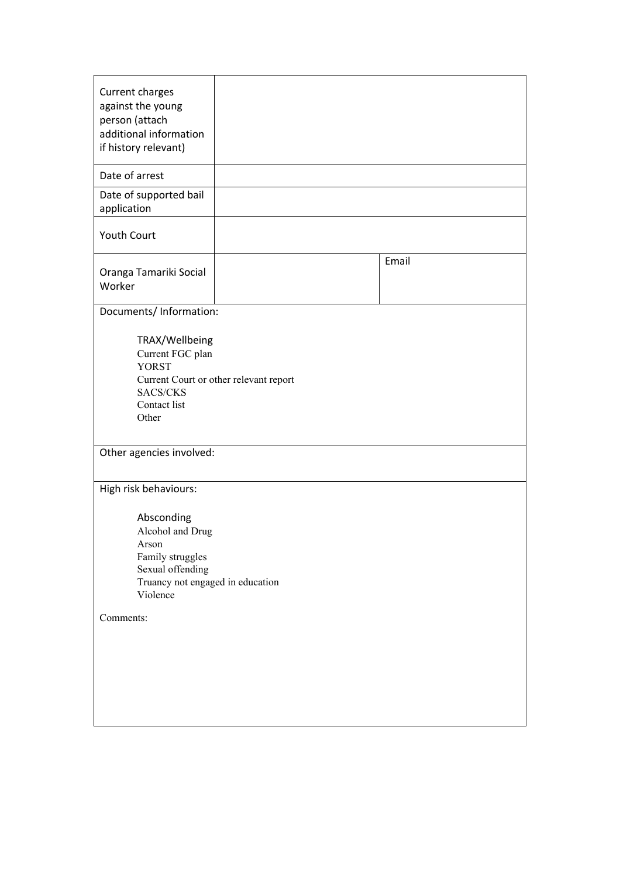| Current charges<br>against the young<br>person (attach<br>additional information<br>if history relevant)<br>Date of arrest        |  |       |  |  |
|-----------------------------------------------------------------------------------------------------------------------------------|--|-------|--|--|
| Date of supported bail<br>application                                                                                             |  |       |  |  |
| Youth Court                                                                                                                       |  |       |  |  |
| Oranga Tamariki Social<br>Worker                                                                                                  |  | Email |  |  |
| Documents/ Information:                                                                                                           |  |       |  |  |
| TRAX/Wellbeing<br>Current FGC plan<br><b>YORST</b><br>Current Court or other relevant report<br>SACS/CKS<br>Contact list<br>Other |  |       |  |  |
| Other agencies involved:                                                                                                          |  |       |  |  |
| High risk behaviours:                                                                                                             |  |       |  |  |
| Absconding<br>Alcohol and Drug<br>Arson<br>Family struggles<br>Sexual offending<br>Truancy not engaged in education<br>Violence   |  |       |  |  |
| Comments:                                                                                                                         |  |       |  |  |
|                                                                                                                                   |  |       |  |  |